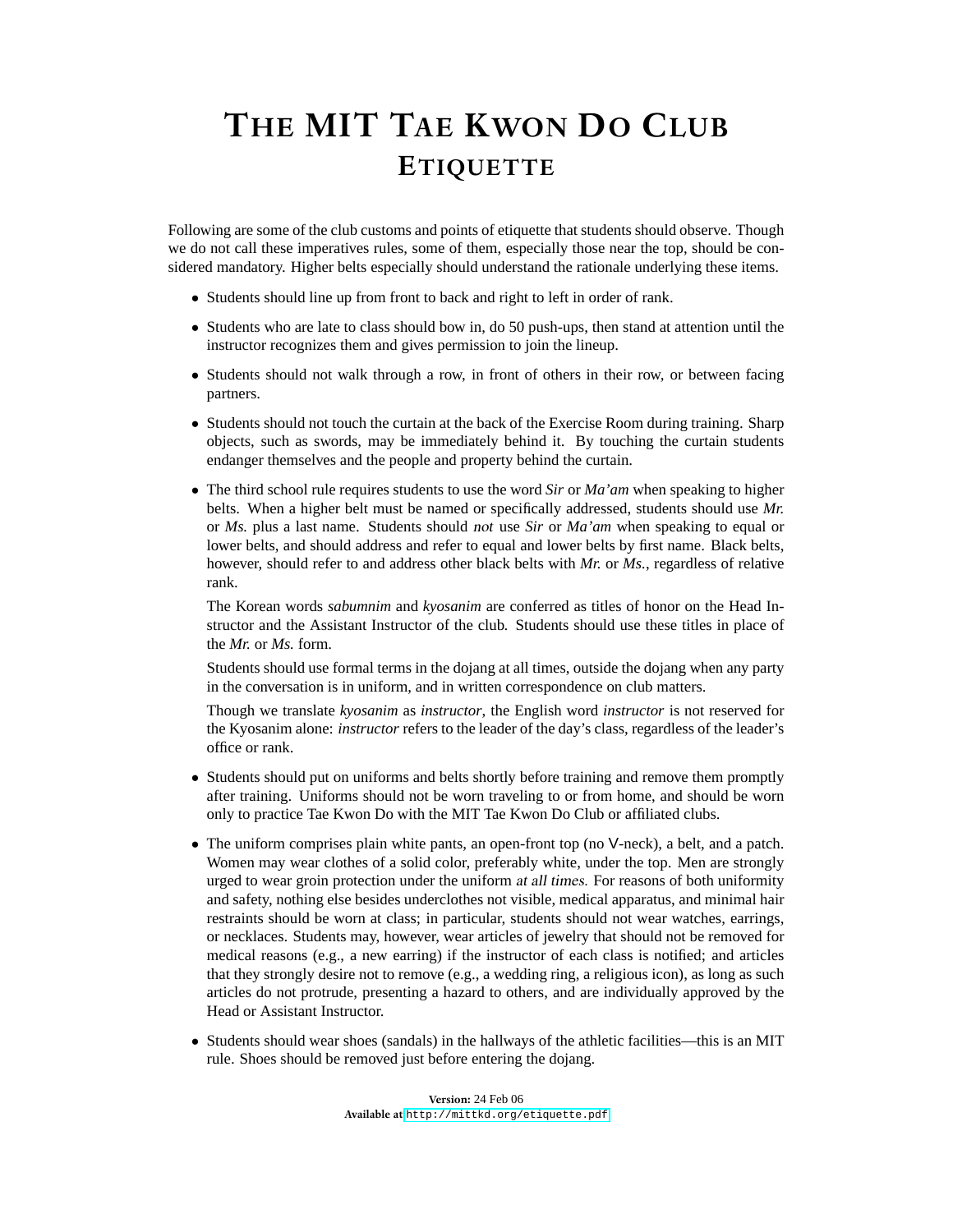## **THE MIT TAE KWON DO CLUB ETIQUETTE**

Following are some of the club customs and points of etiquette that students should observe. Though we do not call these imperatives rules, some of them, especially those near the top, should be considered mandatory. Higher belts especially should understand the rationale underlying these items.

- Students should line up from front to back and right to left in order of rank.
- Students who are late to class should bow in, do 50 push-ups, then stand at attention until the instructor recognizes them and gives permission to join the lineup.
- Students should not walk through a row, in front of others in their row, or between facing partners.
- Students should not touch the curtain at the back of the Exercise Room during training. Sharp objects, such as swords, may be immediately behind it. By touching the curtain students endanger themselves and the people and property behind the curtain.
- The third school rule requires students to use the word *Sir* or *Ma'am* when speaking to higher belts. When a higher belt must be named or specifically addressed, students should use *Mr.* or *Ms.* plus a last name. Students should not use *Sir* or *Ma'am* when speaking to equal or lower belts, and should address and refer to equal and lower belts by first name. Black belts, however, should refer to and address other black belts with *Mr.* or *Ms.*, regardless of relative rank.

The Korean words *sabumnim* and *kyosanim* are conferred as titles of honor on the Head Instructor and the Assistant Instructor of the club. Students should use these titles in place of the *Mr.* or *Ms.* form.

Students should use formal terms in the dojang at all times, outside the dojang when any party in the conversation is in uniform, and in written correspondence on club matters.

Though we translate *kyosanim* as *instructor*, the English word *instructor* is not reserved for the Kyosanim alone: *instructor* refers to the leader of the day's class, regardless of the leader's office or rank.

- Students should put on uniforms and belts shortly before training and remove them promptly after training. Uniforms should not be worn traveling to or from home, and should be worn only to practice Tae Kwon Do with the MIT Tae Kwon Do Club or affiliated clubs.
- The uniform comprises plain white pants, an open-front top (no V-neck), a belt, and a patch. Women may wear clothes of a solid color, preferably white, under the top. Men are strongly urged to wear groin protection under the uniform at all times. For reasons of both uniformity and safety, nothing else besides underclothes not visible, medical apparatus, and minimal hair restraints should be worn at class; in particular, students should not wear watches, earrings, or necklaces. Students may, however, wear articles of jewelry that should not be removed for medical reasons (e.g., a new earring) if the instructor of each class is notified; and articles that they strongly desire not to remove (e.g., a wedding ring, a religious icon), as long as such articles do not protrude, presenting a hazard to others, and are individually approved by the Head or Assistant Instructor.
- Students should wear shoes (sandals) in the hallways of the athletic facilities—this is an MIT rule. Shoes should be removed just before entering the dojang.